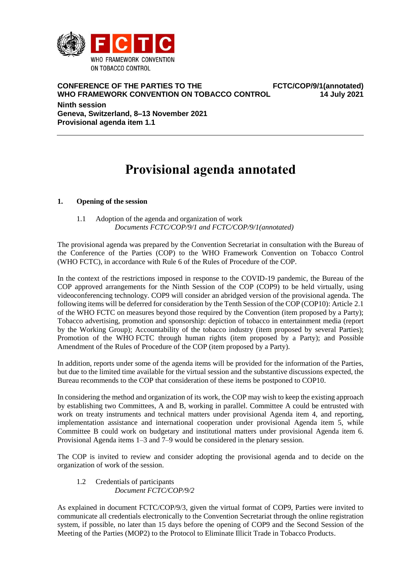

**CONFERENCE OF THE PARTIES TO THE WHO FRAMEWORK CONVENTION ON TOBACCO CONTROL FCTC/COP/9/1(annotated) 14 July 2021**

**Ninth session Geneva, Switzerland, 8–13 November 2021 Provisional agenda item 1.1**

# **Provisional agenda annotated**

# **1. Opening of the session**

1.1 Adoption of the agenda and organization of work *Documents FCTC/COP/9/1 and FCTC/COP/9/1(annotated)*

The provisional agenda was prepared by the Convention Secretariat in consultation with the Bureau of the Conference of the Parties (COP) to the WHO Framework Convention on Tobacco Control (WHO FCTC), in accordance with Rule 6 of the Rules of Procedure of the COP.

In the context of the restrictions imposed in response to the COVID-19 pandemic, the Bureau of the COP approved arrangements for the Ninth Session of the COP (COP9) to be held virtually, using videoconferencing technology. COP9 will consider an abridged version of the provisional agenda. The following items will be deferred for consideration by the Tenth Session of the COP (COP10): Article 2.1 of the WHO FCTC on measures beyond those required by the Convention (item proposed by a Party); Tobacco advertising, promotion and sponsorship: depiction of tobacco in entertainment media (report by the Working Group); Accountability of the tobacco industry (item proposed by several Parties); Promotion of the WHO FCTC through human rights (item proposed by a Party); and Possible Amendment of the Rules of Procedure of the COP (item proposed by a Party).

In addition, reports under some of the agenda items will be provided for the information of the Parties, but due to the limited time available for the virtual session and the substantive discussions expected, the Bureau recommends to the COP that consideration of these items be postponed to COP10.

In considering the method and organization of its work, the COP may wish to keep the existing approach by establishing two Committees, A and B, working in parallel. Committee A could be entrusted with work on treaty instruments and technical matters under provisional Agenda item 4, and reporting, implementation assistance and international cooperation under provisional Agenda item 5, while Committee B could work on budgetary and institutional matters under provisional Agenda item 6. Provisional Agenda items 1–3 and 7–9 would be considered in the plenary session.

The COP is invited to review and consider adopting the provisional agenda and to decide on the organization of work of the session.

# 1.2 Credentials of participants *Document FCTC/COP/9/2*

As explained in document FCTC/COP/9/3, given the virtual format of COP9, Parties were invited to communicate all credentials electronically to the Convention Secretariat through the online registration system, if possible, no later than 15 days before the opening of COP9 and the Second Session of the Meeting of the Parties (MOP2) to the Protocol to Eliminate Illicit Trade in Tobacco Products.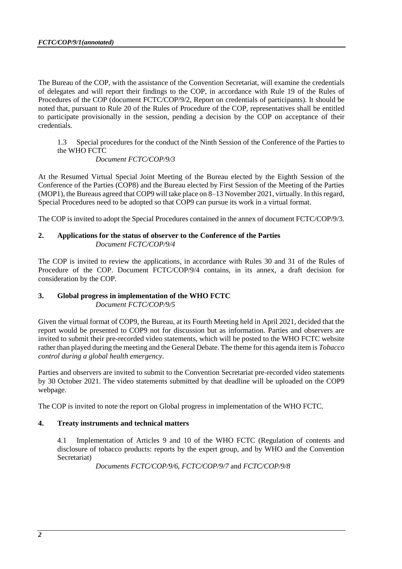The Bureau of the COP, with the assistance of the Convention Secretariat, will examine the credentials of delegates and will report their findings to the COP, in accordance with Rule 19 of the Rules of Procedures of the COP (document FCTC/COP/9/2, Report on credentials of participants). It should be noted that, pursuant to Rule 20 of the Rules of Procedure of the COP, representatives shall be entitled to participate provisionally in the session, pending a decision by the COP on acceptance of their credentials.

1.3 Special procedures for the conduct of the Ninth Session of the Conference of the Parties to the WHO FCTC

*Document FCTC/COP/9/3*

At the Resumed Virtual Special Joint Meeting of the Bureau elected by the Eighth Session of the Conference of the Parties (COP8) and the Bureau elected by First Session of the Meeting of the Parties (MOP1), the Bureaus agreed that COP9 will take place on 8–13 November 2021, virtually. In this regard, Special Procedures need to be adopted so that COP9 can pursue its work in a virtual format.

The COP is invited to adopt the Special Procedures contained in the annex of document FCTC/COP/9/3.

# **2. Applications for the status of observer to the Conference of the Parties** *Document FCTC/COP/9/4*

The COP is invited to review the applications, in accordance with Rules 30 and 31 of the Rules of Procedure of the COP. Document FCTC/COP/9/4 contains, in its annex, a draft decision for consideration by the COP.

# **3. Global progress in implementation of the WHO FCTC**

*Document FCTC/COP/9/5*

Given the virtual format of COP9, the Bureau, at its Fourth Meeting held in April 2021, decided that the report would be presented to COP9 not for discussion but as information. Parties and observers are invited to submit their pre-recorded video statements, which will be posted to the WHO FCTC website rather than played during the meeting and the General Debate. The theme for this agenda item is *Tobacco control during a global health emergency*.

Parties and observers are invited to submit to the Convention Secretariat pre-recorded video statements by 30 October 2021. The video statements submitted by that deadline will be uploaded on the COP9 webpage.

The COP is invited to note the report on Global progress in implementation of the WHO FCTC.

# **4. Treaty instruments and technical matters**

4.1 Implementation of Articles 9 and 10 of the WHO FCTC (Regulation of contents and disclosure of tobacco products: reports by the expert group, and by WHO and the Convention Secretariat)

*Documents FCTC/COP/9/6*, *FCTC/COP/9/7* and *FCTC/COP/9/8*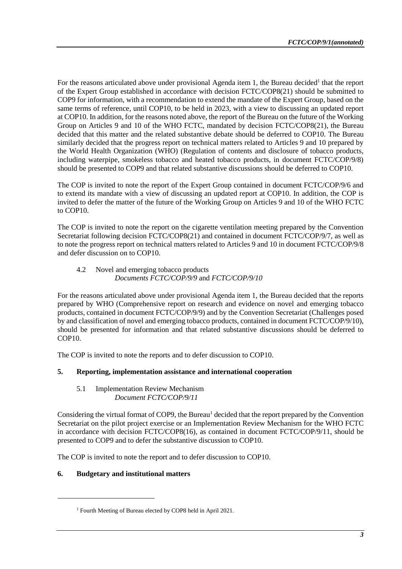For the reasons articulated above under provisional Agenda item 1, the Bureau decided<sup>1</sup> that the report of the Expert Group established in accordance with decision FCTC/COP8(21) should be submitted to COP9 for information, with a recommendation to extend the mandate of the Expert Group, based on the same terms of reference, until COP10, to be held in 2023, with a view to discussing an updated report at COP10. In addition, for the reasons noted above, the report of the Bureau on the future of the Working Group on Articles 9 and 10 of the WHO FCTC, mandated by decision FCTC/COP8(21), the Bureau decided that this matter and the related substantive debate should be deferred to COP10. The Bureau similarly decided that the progress report on technical matters related to Articles 9 and 10 prepared by the World Health Organization (WHO) (Regulation of contents and disclosure of tobacco products, including waterpipe, smokeless tobacco and heated tobacco products, in document FCTC/COP/9/8) should be presented to COP9 and that related substantive discussions should be deferred to COP10.

The COP is invited to note the report of the Expert Group contained in document FCTC/COP/9/6 and to extend its mandate with a view of discussing an updated report at COP10. In addition, the COP is invited to defer the matter of the future of the Working Group on Articles 9 and 10 of the WHO FCTC to COP10.

The COP is invited to note the report on the cigarette ventilation meeting prepared by the Convention Secretariat following decision FCTC/COP8(21) and contained in document FCTC/COP/9/7, as well as to note the progress report on technical matters related to Articles 9 and 10 in document FCTC/COP/9/8 and defer discussion on to COP10.

# 4.2 Novel and emerging tobacco products *Documents FCTC/COP/9/9* and *FCTC/COP/9/10*

For the reasons articulated above under provisional Agenda item 1, the Bureau decided that the reports prepared by WHO (Comprehensive report on research and evidence on novel and emerging tobacco products, contained in document FCTC/COP/9/9) and by the Convention Secretariat (Challenges posed by and classification of novel and emerging tobacco products, contained in document FCTC/COP/9/10), should be presented for information and that related substantive discussions should be deferred to COP10.

The COP is invited to note the reports and to defer discussion to COP10.

# **5. Reporting, implementation assistance and international cooperation**

#### 5.1 Implementation Review Mechanism *Document FCTC/COP/9/11*

Considering the virtual format of COP9, the Bureau<sup>1</sup> decided that the report prepared by the Convention Secretariat on the pilot project exercise or an Implementation Review Mechanism for the WHO FCTC in accordance with decision FCTC/COP8(16), as contained in document FCTC/COP/9/11, should be presented to COP9 and to defer the substantive discussion to COP10.

The COP is invited to note the report and to defer discussion to COP10.

# **6. Budgetary and institutional matters**

-

<sup>1</sup> Fourth Meeting of Bureau elected by COP8 held in April 2021.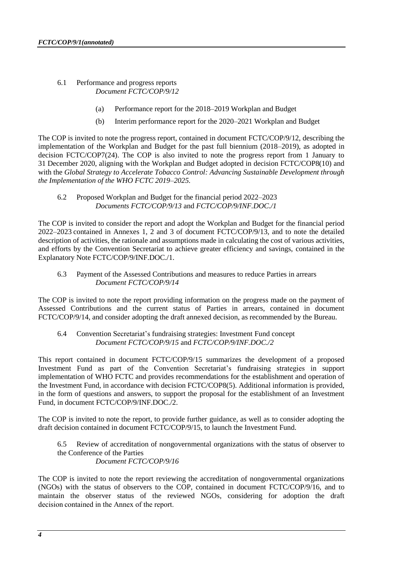- 6.1 Performance and progress reports *Document FCTC/COP/9/12*
	- (a) Performance report for the 2018–2019 Workplan and Budget
	- (b) Interim performance report for the 2020–2021 Workplan and Budget

The COP is invited to note the progress report, contained in document FCTC/COP/9/12, describing the implementation of the Workplan and Budget for the past full biennium (2018–2019), as adopted in decision FCTC/COP7(24). The COP is also invited to note the progress report from 1 January to 31 December 2020, aligning with the Workplan and Budget adopted in decision FCTC/COP8(10) and with the *Global Strategy to Accelerate Tobacco Control: Advancing Sustainable Development through the Implementation of the WHO FCTC 2019–2025.*

6.2 Proposed Workplan and Budget for the financial period 2022–2023 *Documents FCTC/COP/9/13* and *FCTC/COP/9/INF.DOC./1*

The COP is invited to consider the report and adopt the Workplan and Budget for the financial period 2022–2023 contained in Annexes 1, 2 and 3 of document FCTC/COP/9/13*,* and to note the detailed description of activities, the rationale and assumptions made in calculating the cost of various activities, and efforts by the Convention Secretariat to achieve greater efficiency and savings, contained in the Explanatory Note FCTC/COP/9/INF.DOC./1.

6.3 Payment of the Assessed Contributions and measures to reduce Parties in arrears *Document FCTC/COP/9/14*

The COP is invited to note the report providing information on the progress made on the payment of Assessed Contributions and the current status of Parties in arrears, contained in document FCTC/COP/9/14, and consider adopting the draft annexed decision, as recommended by the Bureau.

6.4 Convention Secretariat's fundraising strategies: Investment Fund concept *Document FCTC/COP/9/15* and *FCTC/COP/9/INF.DOC./2*

This report contained in document FCTC/COP/9/15 summarizes the development of a proposed Investment Fund as part of the Convention Secretariat's fundraising strategies in support implementation of WHO FCTC and provides recommendations for the establishment and operation of the Investment Fund, in accordance with decision FCTC/COP8(5). Additional information is provided, in the form of questions and answers, to support the proposal for the establishment of an Investment Fund, in document FCTC/COP/9/INF.DOC./2.

The COP is invited to note the report, to provide further guidance, as well as to consider adopting the draft decision contained in document FCTC/COP/9/15, to launch the Investment Fund.

6.5 Review of accreditation of nongovernmental organizations with the status of observer to the Conference of the Parties *Document FCTC/COP/9/16*

The COP is invited to note the report reviewing the accreditation of nongovernmental organizations (NGOs) with the status of observers to the COP, contained in document FCTC/COP/9/16, and to maintain the observer status of the reviewed NGOs, considering for adoption the draft decision contained in the Annex of the report.